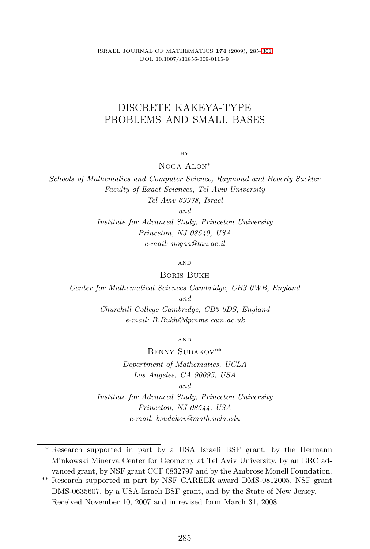ISRAEL JOURNAL OF MATHEMATICS 174 (2009), 285[–301](#page-16-0) DOI: 10.1007/s11856-009-0115-9

# DISCRETE KAKEYA-TYPE PROBLEMS AND SMALL BASES

BY

Noga Alon<sup>∗</sup>

Schools of Mathematics and Computer Science, Raymond and Beverly Sackler Faculty of Exact Sciences, Tel Aviv University Tel Aviv 69978, Israel

and

Institute for Advanced Study, Princeton University Princeton, NJ 08540, USA e-mail: nogaa@tau.ac.il

AND

Boris Bukh

Center for Mathematical Sciences Cambridge, CB3 0WB, England and Churchill College Cambridge, CB3 0DS, England

e-mail: B.Bukh@dpmms.cam.ac.uk

AND

Benny Sudakov∗∗ Department of Mathematics, UCLA Los Angeles, CA 90095, USA and Institute for Advanced Study, Princeton University Princeton, NJ 08544, USA e-mail: bsudakov@math.ucla.edu

∗ Research supported in part by a USA Israeli BSF grant, by the Hermann Minkowski Minerva Center for Geometry at Tel Aviv University, by an ERC advanced grant, by NSF grant CCF 0832797 and by the Ambrose Monell Foundation.

<sup>∗∗</sup> Research supported in part by NSF CAREER award DMS-0812005, NSF grant DMS-0635607, by a USA-Israeli BSF grant, and by the State of New Jersey. Received November 10, 2007 and in revised form March 31, 2008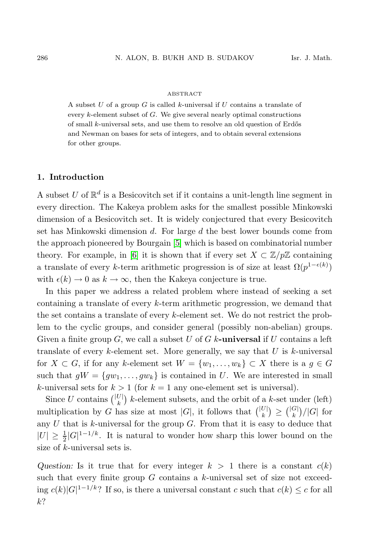#### ABSTRACT

A subset  $U$  of a group  $G$  is called  $k$ -universal if  $U$  contains a translate of every  $k$ -element subset of  $G$ . We give several nearly optimal constructions of small  $k$ -universal sets, and use them to resolve an old question of Erdős and Newman on bases for sets of integers, and to obtain several extensions for other groups.

## 1. Introduction

A subset U of  $\mathbb{R}^d$  is a Besicovitch set if it contains a unit-length line segment in every direction. The Kakeya problem asks for the smallest possible Minkowski dimension of a Besicovitch set. It is widely conjectured that every Besicovitch set has Minkowski dimension  $d$ . For large  $d$  the best lower bounds come from the approach pioneered by Bourgain [\[5\]](#page-15-0) which is based on combinatorial number theory. For example, in [\[6\]](#page-16-1) it is shown that if every set  $X \subset \mathbb{Z}/p\mathbb{Z}$  containing a translate of every k-term arithmetic progression is of size at least  $\Omega(p^{1-\epsilon(k)})$ with  $\epsilon(k) \to 0$  as  $k \to \infty$ , then the Kakeya conjecture is true.

In this paper we address a related problem where instead of seeking a set containing a translate of every  $k$ -term arithmetic progression, we demand that the set contains a translate of every k-element set. We do not restrict the problem to the cyclic groups, and consider general (possibly non-abelian) groups. Given a finite group G, we call a subset U of G k-universal if U contains a left translate of every k-element set. More generally, we say that  $U$  is k-universal for  $X \subset G$ , if for any k-element set  $W = \{w_1, \ldots, w_k\} \subset X$  there is a  $g \in G$ such that  $gW = \{gw_1, \ldots, gw_k\}$  is contained in U. We are interested in small k-universal sets for  $k > 1$  (for  $k = 1$  any one-element set is universal).

Since U contains  $\binom{|U|}{k}$  k-element subsets, and the orbit of a k-set under (left) multiplication by G has size at most  $|G|$ , it follows that  $\binom{|U|}{k} \geq {\binom{|G|}{k}}/|G|$  for any  $U$  that is  $k$ -universal for the group  $G$ . From that it is easy to deduce that  $|U| \geq \frac{1}{2}|G|^{1-1/k}$ . It is natural to wonder how sharp this lower bound on the size of k-universal sets is.

Question: Is it true that for every integer  $k > 1$  there is a constant  $c(k)$ such that every finite group  $G$  contains a  $k$ -universal set of size not exceeding  $c(k)|G|^{1-1/k}$ ? If so, is there a universal constant c such that  $c(k) \leq c$  for all  $k$ ?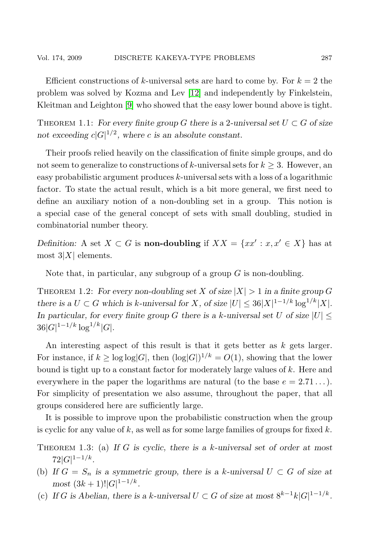Efficient constructions of k-universal sets are hard to come by. For  $k = 2$  the problem was solved by Kozma and Lev [\[12\]](#page-16-2) and independently by Finkelstein, Kleitman and Leighton [\[9\]](#page-16-3) who showed that the easy lower bound above is tight.

THEOREM 1.1: For every finite group G there is a 2-universal set  $U \subset G$  of size not exceeding  $c|G|^{1/2}$ , where c is an absolute constant.

Their proofs relied heavily on the classification of finite simple groups, and do not seem to generalize to constructions of k-universal sets for  $k \geq 3$ . However, an easy probabilistic argument produces k-universal sets with a loss of a logarithmic factor. To state the actual result, which is a bit more general, we first need to define an auxiliary notion of a non-doubling set in a group. This notion is a special case of the general concept of sets with small doubling, studied in combinatorial number theory.

Definition: A set  $X \subset G$  is **non-doubling** if  $XX = \{xx' : x, x' \in X\}$  has at most  $3|X|$  elements.

Note that, in particular, any subgroup of a group  $G$  is non-doubling.

<span id="page-2-0"></span>THEOREM 1.2: For every non-doubling set X of size  $|X| > 1$  in a finite group G there is a  $U \subset G$  which is k-universal for X, of size  $|U| \leq 36|X|^{1-1/k} \log^{1/k}|X|$ . In particular, for every finite group G there is a k-universal set U of size  $|U|$  <  $36|G|^{1-1/k}\log^{1/k}|G|.$ 

An interesting aspect of this result is that it gets better as k gets larger. For instance, if  $k \geq \log \log |G|$ , then  $(\log |G|)^{1/k} = O(1)$ , showing that the lower bound is tight up to a constant factor for moderately large values of k. Here and everywhere in the paper the logarithms are natural (to the base  $e = 2.71...$ ). For simplicity of presentation we also assume, throughout the paper, that all groups considered here are sufficiently large.

It is possible to improve upon the probabilistic construction when the group is cyclic for any value of  $k$ , as well as for some large families of groups for fixed  $k$ .

- <span id="page-2-2"></span><span id="page-2-1"></span>THEOREM 1.3: (a) If G is cyclic, there is a k-universal set of order at most  $72|G|^{1-1/k}.$
- <span id="page-2-3"></span>(b) If  $G = S_n$  is a symmetric group, there is a k-universal  $U \subset G$  of size at  $most (3k+1)!|G|^{1-1/k}.$
- (c) If G is Abelian, there is a k-universal  $U \subset G$  of size at most  $8^{k-1}k|G|^{1-1/k}$ .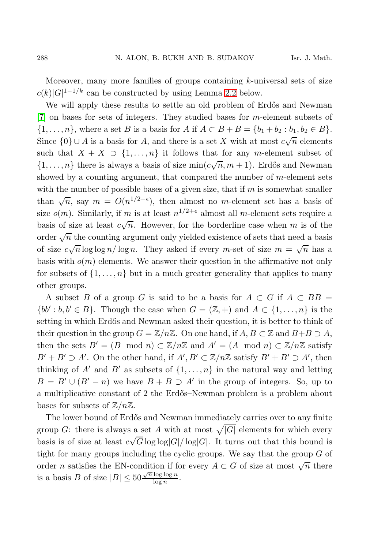Moreover, many more families of groups containing  $k$ -universal sets of size  $c(k)|G|^{1-1/k}$  can be constructed by using Lemma [2.2](#page-9-0) below.

We will apply these results to settle an old problem of Erdős and Newman [\[7\]](#page-16-4) on bases for sets of integers. They studied bases for m-element subsets of  $\{1, \ldots, n\}$ , where a set B is a basis for A if  $A \subset B + B = \{b_1 + b_2 : b_1, b_2 \in B\}$ . Since  $\{0\} \cup A$  is a basis for A, and there is a set X with at most  $c\sqrt{n}$  elements such that  $X + X \supset \{1, ..., n\}$  it follows that for any m-element subset of  $\{1,\ldots,n\}$  there is always a basis of size  $\min(c\sqrt{n},m+1)$ . Erdős and Newman showed by a counting argument, that compared the number of  $m$ -element sets with the number of possible bases of a given size, that if  $m$  is somewhat smaller than  $\sqrt{n}$ , say  $m = O(n^{1/2-\epsilon})$ , then almost no m-element set has a basis of size  $o(m)$ . Similarly, if m is at least  $n^{1/2+\epsilon}$  almost all m-element sets require a basis of size at least  $c\sqrt{n}$ . However, for the borderline case when m is of the order  $\sqrt{n}$  the counting argument only yielded existence of sets that need a basis of size  $c\sqrt{n}\log\log n/\log n$ . They asked if every m-set of size  $m = \sqrt{n}$  has a basis with  $o(m)$  elements. We answer their question in the affirmative not only for subsets of  $\{1, \ldots, n\}$  but in a much greater generality that applies to many other groups.

A subset B of a group G is said to be a basis for  $A \subset G$  if  $A \subset BB =$  $\{bb' : b, b' \in B\}$ . Though the case when  $G = (\mathbb{Z}, +)$  and  $A \subset \{1, ..., n\}$  is the setting in which Erdős and Newman asked their question, it is better to think of their question in the group  $G = \mathbb{Z}/n\mathbb{Z}$ . On one hand, if  $A, B \subset \mathbb{Z}$  and  $B+B \supset A$ , then the sets  $B' = (B \mod n) \subset \mathbb{Z}/n\mathbb{Z}$  and  $A' = (A \mod n) \subset \mathbb{Z}/n\mathbb{Z}$  satisfy  $B' + B' \supseteq A'$ . On the other hand, if  $A', B' \subset \mathbb{Z}/n\mathbb{Z}$  satisfy  $B' + B' \supseteq A'$ , then thinking of A' and B' as subsets of  $\{1, \ldots, n\}$  in the natural way and letting  $B = B' \cup (B' - n)$  we have  $B + B \supset A'$  in the group of integers. So, up to a multiplicative constant of 2 the Erd˝os–Newman problem is a problem about bases for subsets of  $\mathbb{Z}/n\mathbb{Z}$ .

The lower bound of Erdős and Newman immediately carries over to any finite group G: there is always a set A with at most  $\sqrt{|G|}$  elements for which every basis is of size at least  $c\sqrt{G}\log\log|G|/\log|G|$ . It turns out that this bound is tight for many groups including the cyclic groups. We say that the group  $G$  of order *n* satisfies the EN-condition if for every  $A \subset G$  of size at most  $\sqrt{n}$  there is a basis B of size  $|B| \leq 50 \frac{\sqrt{n} \log \log n}{\log n}$  $\frac{\log \log n}{\log n}$ .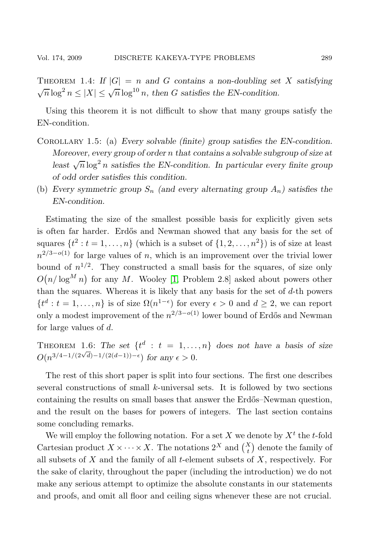<span id="page-4-0"></span>THEOREM 1.4: If  $|G| = n$  and G contains a non-doubling set X satisfying  $\sqrt{n}\log^2 n \leq |X| \leq \sqrt{n}\log^{10} n$ , then G satisfies the EN-condition.

Using this theorem it is not difficult to show that many groups satisfy the EN-condition.

- Corollary 1.5: (a) Every solvable (finite) group satisfies the EN-condition. Moreover, every group of order n that contains a solvable subgroup of size at least  $\sqrt{n} \log^2 n$  satisfies the EN-condition. In particular every finite group of odd order satisfies this condition.
- (b) Every symmetric group  $S_n$  (and every alternating group  $A_n$ ) satisfies the EN-condition.

Estimating the size of the smallest possible basis for explicitly given sets is often far harder. Erdős and Newman showed that any basis for the set of squares  $\{t^2 : t = 1, \ldots, n\}$  (which is a subset of  $\{1, 2, \ldots, n^2\}$ ) is of size at least  $n^{2/3-o(1)}$  for large values of n, which is an improvement over the trivial lower bound of  $n^{1/2}$ . They constructed a small basis for the squares, of size only  $O(n/\log^M n)$  for any M. Wooley [\[1,](#page-15-1) Problem 2.8] asked about powers other than the squares. Whereas it is likely that any basis for the set of  $d$ -th powers  $\{t^d : t = 1, \ldots, n\}$  is of size  $\Omega(n^{1-\epsilon})$  for every  $\epsilon > 0$  and  $d \geq 2$ , we can report only a modest improvement of the  $n^{2/3-o(1)}$  lower bound of Erdős and Newman for large values of d.

<span id="page-4-1"></span>THEOREM 1.6: The set  $\{t^d : t = 1, ..., n\}$  does not have a basis of size  $O(n^{3/4-1/(2\sqrt{d})-1/(2(d-1))-\epsilon})$  for any  $\epsilon > 0$ .

The rest of this short paper is split into four sections. The first one describes several constructions of small  $k$ -universal sets. It is followed by two sections containing the results on small bases that answer the Erdős–Newman question, and the result on the bases for powers of integers. The last section contains some concluding remarks.

We will employ the following notation. For a set X we denote by  $X<sup>t</sup>$  the t-fold Cartesian product  $X \times \cdots \times X$ . The notations  $2^X$  and  $\binom{X}{t}$  denote the family of all subsets of  $X$  and the family of all  $t$ -element subsets of  $X$ , respectively. For the sake of clarity, throughout the paper (including the introduction) we do not make any serious attempt to optimize the absolute constants in our statements and proofs, and omit all floor and ceiling signs whenever these are not crucial.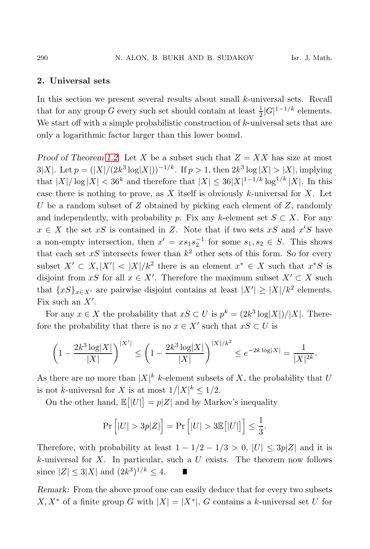## 2. Universal sets

In this section we present several results about small k-universal sets. Recall that for any group G every such set should contain at least  $\frac{1}{2}|G|^{1-1/k}$  elements. We start off with a simple probabilistic construction of  $k$ -universal sets that are only a logarithmic factor larger than this lower bound.

Proof of Theorem [1.2.](#page-2-0) Let X be a subset such that  $Z = XX$  has size at most 3|X|. Let  $p = (|X|/(2k^3 \log |X|))^{-1/k}$ . If  $p > 1$ , then  $2k^3 \log |X| > |X|$ , implying that  $|X|/\log |X| < 36^k$  and therefore that  $|X| \leq 36|X|^{1-1/k} \log^{1/k} |X|$ . In this case there is nothing to prove, as  $X$  itself is obviously k-universal for  $X$ . Let U be a random subset of Z obtained by picking each element of  $Z$ , randomly and independently, with probability p. Fix any k-element set  $S \subset X$ . For any  $x \in X$  the set  $xS$  is contained in Z. Note that if two sets  $xS$  and  $x'S$  have a non-empty intersection, then  $x' = xs_1s_2^{-1}$  for some  $s_1, s_2 \in S$ . This shows that each set  $xS$  intersects fewer than  $k^2$  other sets of this form. So for every subset  $X' \subset X, |X'| < |X|/k^2$  there is an element  $x^* \in X$  such that  $x^*S$  is disjoint from xS for all  $x \in X'$ . Therefore the maximum subset  $X' \subset X$  such that  $\{xS\}_{x\in X'}$  are pairwise disjoint contains at least  $|X'| \ge |X|/k^2$  elements. Fix such an  $X'$ .

For any  $x \in X$  the probability that  $xS \subset U$  is  $p^k = \frac{2k^3 \log |X|}{|X|}$ . Therefore the probability that there is no  $x \in X'$  such that  $xS \subset U$  is

$$
\left(1 - \frac{2k^3 \log |X|}{|X|}\right)^{|X'|} \le \left(1 - \frac{2k^3 \log |X|}{|X|}\right)^{|X|/k^2} \le e^{-2k \log |X|} = \frac{1}{|X|^{2k}}.
$$

As there are no more than  $|X|^k$  k-element subsets of X, the probability that U is not k-universal for X is at most  $1/|X|^k \leq 1/2$ .

On the other hand,  $\mathbb{E}[|U|] = p|Z|$  and by Markov's inequality

$$
\Pr\left[|U| > 3p|Z|\right] = \Pr\left[|U| > 3\mathbb{E}\big[|U|\big]\right] \le \frac{1}{3}.
$$

Therefore, with probability at least  $1 - 1/2 - 1/3 > 0$ ,  $|U| \leq 3p|Z|$  and it is  $k$ -universal for X. In particular, such a U exists. The theorem now follows since  $|Z| \le 3|X|$  and  $(2k^3)^{1/k} \le 4$ .

Remark: From the above proof one can easily deduce that for every two subsets  $X, X^*$  of a finite group G with  $|X| = |X^*|$ , G contains a k-universal set U for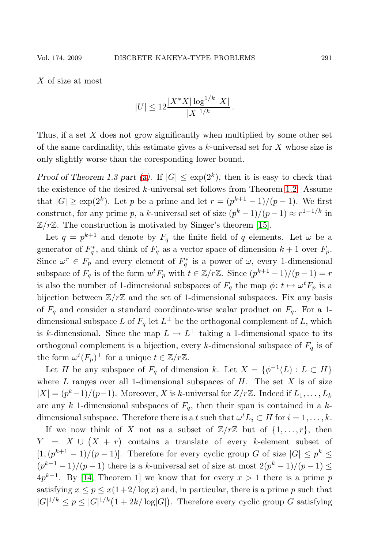X of size at most

$$
|U| \le 12 \frac{|X^*X| \log^{1/k} |X|}{|X|^{1/k}}.
$$

Thus, if a set  $X$  does not grow significantly when multiplied by some other set of the same cardinality, this estimate gives a  $k$ -universal set for X whose size is only slightly worse than the coresponding lower bound.

Proof of Theorem 1.3 part [\(a\)](#page-2-1). If  $|G| \leq \exp(2^k)$ , then it is easy to check that the existence of the desired  $k$ -universal set follows from Theorem [1.2.](#page-2-0) Assume that  $|G| \ge \exp(2^k)$ . Let p be a prime and let  $r = (p^{k+1} - 1)/(p - 1)$ . We first construct, for any prime p, a k-universal set of size  $(p^k - 1)/(p - 1) \approx r^{1-1/k}$  in  $\mathbb{Z}/r\mathbb{Z}$ . The construction is motivated by Singer's theorem [\[15\]](#page-16-5).

Let  $q = p^{k+1}$  and denote by  $F_q$  the finite field of q elements. Let  $\omega$  be a generator of  $F_q^*$ , and think of  $F_q$  as a vector space of dimension  $k+1$  over  $F_p$ . Since  $\omega^r \in F_p$  and every element of  $F_q^*$  is a power of  $\omega$ , every 1-dimensional subspace of  $F_q$  is of the form  $w^t F_p$  with  $t \in \mathbb{Z}/r\mathbb{Z}$ . Since  $(p^{k+1}-1)/(p-1) = r$ is also the number of 1-dimensional subspaces of  $F_q$  the map  $\phi: t \mapsto \omega^t F_p$  is a bijection between  $\mathbb{Z}/r\mathbb{Z}$  and the set of 1-dimensional subspaces. Fix any basis of  $F_q$  and consider a standard coordinate-wise scalar product on  $F_q$ . For a 1dimensional subspace L of  $F_q$  let  $L^{\perp}$  be the orthogonal complement of L, which is k-dimensional. Since the map  $L \mapsto L^{\perp}$  taking a 1-dimensional space to its orthogonal complement is a bijection, every k-dimensional subspace of  $F_q$  is of the form  $\omega^t(F_p)^{\perp}$  for a unique  $t \in \mathbb{Z}/r\mathbb{Z}$ .

Let H be any subspace of  $F_q$  of dimension k. Let  $X = \{ \phi^{-1}(L) : L \subset H \}$ where  $L$  ranges over all 1-dimensional subspaces of  $H$ . The set  $X$  is of size  $|X| = (p<sup>k</sup>-1)/(p-1)$ . Moreover, X is k-universal for  $Z/r\mathbb{Z}$ . Indeed if  $L_1, \ldots, L_k$ are any k 1-dimensional subspaces of  $F_q$ , then their span is contained in a kdimensional subspace. Therefore there is a t such that  $\omega^t L_i \subset H$  for  $i = 1, \ldots, k$ .

If we now think of X not as a subset of  $\mathbb{Z}/r\mathbb{Z}$  but of  $\{1,\ldots,r\}$ , then  $Y = X \cup (X + r)$  contains a translate of every k-element subset of  $[1,(p^{k+1}-1)/(p-1)]$ . Therefore for every cyclic group G of size  $|G| \leq p^k \leq$  $(p^{k+1}-1)/(p-1)$  there is a k-universal set of size at most  $2(p^k-1)/(p-1) \le$  $4p^{k-1}$ . By [\[14,](#page-16-6) Theorem 1] we know that for every  $x > 1$  there is a prime p satisfying  $x \le p \le x(1+2/\log x)$  and, in particular, there is a prime p such that  $|G|^{1/k} \le p \le |G|^{1/k} (1 + 2k/\log|G|)$ . Therefore every cyclic group G satisfying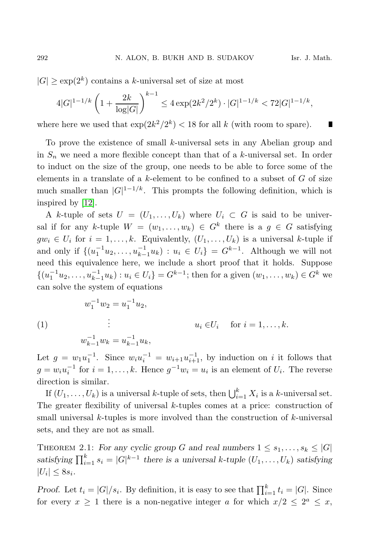П

 $|G| \ge \exp(2^k)$  contains a k-universal set of size at most

$$
4|G|^{1-1/k} \left(1 + \frac{2k}{\log|G|}\right)^{k-1} \le 4\exp(2k^2/2^k) \cdot |G|^{1-1/k} < 72|G|^{1-1/k},
$$

where here we used that  $\exp(2k^2/2^k) < 18$  for all k (with room to spare).

To prove the existence of small k-universal sets in any Abelian group and in  $S_n$  we need a more flexible concept than that of a k-universal set. In order to induct on the size of the group, one needs to be able to force some of the elements in a translate of a  $k$ -element to be confined to a subset of  $G$  of size much smaller than  $|G|^{1-1/k}$ . This prompts the following definition, which is inspired by [\[12\]](#page-16-2).

A k-tuple of sets  $U = (U_1, \ldots, U_k)$  where  $U_i \subset G$  is said to be universal if for any k-tuple  $W = (w_1, \ldots, w_k) \in G^k$  there is a  $g \in G$  satisfying  $gw_i \in U_i$  for  $i = 1, \ldots, k$ . Equivalently,  $(U_1, \ldots, U_k)$  is a universal k-tuple if and only if  $\{(u_1^{-1}u_2, \ldots, u_{k-1}^{-1}u_k) : u_i \in U_i\} = G^{k-1}$ . Although we will not need this equivalence here, we include a short proof that it holds. Suppose  $\{(u_1^{-1}u_2, \ldots, u_{k-1}^{-1}u_k) : u_i \in U_i\} = G^{k-1}$ ; then for a given  $(w_1, \ldots, w_k) \in G^k$  we can solve the system of equations

(1)  
\n
$$
w_1^{-1}w_2 = u_1^{-1}u_2,
$$
\n
$$
\vdots \t u_i \in U_i \quad \text{for } i = 1, ..., k.
$$
\n
$$
w_{k-1}^{-1}w_k = u_{k-1}^{-1}u_k,
$$

Let  $g = w_1 u_1^{-1}$ . Since  $w_i u_i^{-1} = w_{i+1} u_{i+1}^{-1}$ , by induction on i it follows that  $g = w_i u_i^{-1}$  for  $i = 1, ..., k$ . Hence  $g^{-1} w_i = u_i$  is an element of  $U_i$ . The reverse direction is similar.

If  $(U_1, \ldots, U_k)$  is a universal k-tuple of sets, then  $\bigcup_{i=1}^k X_i$  is a k-universal set. The greater flexibility of universal  $k$ -tuples comes at a price: construction of small universal  $k$ -tuples is more involved than the construction of  $k$ -universal sets, and they are not as small.

<span id="page-7-0"></span>THEOREM 2.1: For any cyclic group G and real numbers  $1 \leq s_1, \ldots, s_k \leq |G|$ satisfying  $\prod_{i=1}^{k} s_i = |G|^{k-1}$  there is a universal k-tuple  $(U_1, \ldots, U_k)$  satisfying  $|U_i| \leq 8s_i.$ 

*Proof.* Let  $t_i = |G|/s_i$ . By definition, it is easy to see that  $\prod_{i=1}^{k} t_i = |G|$ . Since for every  $x \ge 1$  there is a non-negative integer a for which  $x/2 \le 2^a \le x$ ,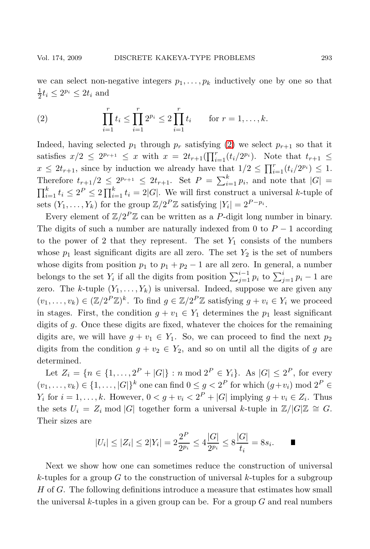we can select non-negative integers  $p_1, \ldots, p_k$  inductively one by one so that  $\frac{1}{2}t_i \leq 2^{p_i} \leq 2t_i$  and

<span id="page-8-0"></span>(2) 
$$
\prod_{i=1}^r t_i \leq \prod_{i=1}^r 2^{p_i} \leq 2 \prod_{i=1}^r t_i \quad \text{for } r = 1, ..., k.
$$

Indeed, having selected  $p_1$  through  $p_r$  satisfying [\(2\)](#page-8-0) we select  $p_{r+1}$  so that it satisfies  $x/2 \leq 2^{p_{r+1}} \leq x$  with  $x = 2t_{r+1}(\prod_{i=1}^r (t_i/2^{p_i})$ . Note that  $t_{r+1} \leq$  $x \leq 2t_{r+1}$ , since by induction we already have that  $1/2 \leq \prod_{i=1}^{r} (t_i/2^{p_i}) \leq 1$ . Therefore  $t_{r+1}/2 \leq 2^{p_{r+1}} \leq 2t_{r+1}$ . Set  $P = \sum_{i=1}^{k} p_i$ , and note that  $|G| =$  $\prod_{i=1}^{k} t_i \leq 2^P \leq 2 \prod_{i=1}^{k} t_i = 2|G|$ . We will first construct a universal k-tuple of sets  $(Y_1, \ldots, Y_k)$  for the group  $\mathbb{Z}/2^P\mathbb{Z}$  satisfying  $|Y_i| = 2^{P-p_i}$ .

Every element of  $\mathbb{Z}/2^P\mathbb{Z}$  can be written as a P-digit long number in binary. The digits of such a number are naturally indexed from 0 to  $P-1$  according to the power of 2 that they represent. The set  $Y_1$  consists of the numbers whose  $p_1$  least significant digits are all zero. The set  $Y_2$  is the set of numbers whose digits from position  $p_1$  to  $p_1 + p_2 - 1$  are all zero. In general, a number belongs to the set  $Y_i$  if all the digits from position  $\sum_{j=1}^{i-1} p_i$  to  $\sum_{j=1}^{i} p_i - 1$  are zero. The k-tuple  $(Y_1, \ldots, Y_k)$  is universal. Indeed, suppose we are given any  $(v_1, \ldots, v_k) \in (\mathbb{Z}/2^P \mathbb{Z})^k$ . To find  $g \in \mathbb{Z}/2^P \mathbb{Z}$  satisfying  $g + v_i \in Y_i$  we proceed in stages. First, the condition  $g + v_1 \in Y_1$  determines the  $p_1$  least significant digits of g. Once these digits are fixed, whatever the choices for the remaining digits are, we will have  $g + v_1 \in Y_1$ . So, we can proceed to find the next  $p_2$ digits from the condition  $g + v_2 \in Y_2$ , and so on until all the digits of g are determined.

Let  $Z_i = \{n \in \{1, ..., 2^P + |G|\} : n \mod 2^P \in Y_i\}$ . As  $|G| \le 2^P$ , for every  $(v_1, \ldots, v_k) \in \{1, \ldots, |G|\}^k$  one can find  $0 \leq g < 2^P$  for which  $(g+v_i) \mod 2^P \in$  $Y_i$  for  $i = 1, ..., k$ . However,  $0 < g + v_i < 2^P + |G|$  implying  $g + v_i \in Z_i$ . Thus the sets  $U_i = Z_i \mod |G|$  together form a universal k-tuple in  $\mathbb{Z}/|G|\mathbb{Z} \cong G$ . Their sizes are

$$
|U_i| \le |Z_i| \le 2|Y_i| = 2\frac{2^P}{2^{p_i}} \le 4\frac{|G|}{2^{p_i}} \le 8\frac{|G|}{t_i} = 8s_i.
$$

Next we show how one can sometimes reduce the construction of universal k-tuples for a group  $G$  to the construction of universal k-tuples for a subgroup H of G. The following definitions introduce a measure that estimates how small the universal k-tuples in a given group can be. For a group  $G$  and real numbers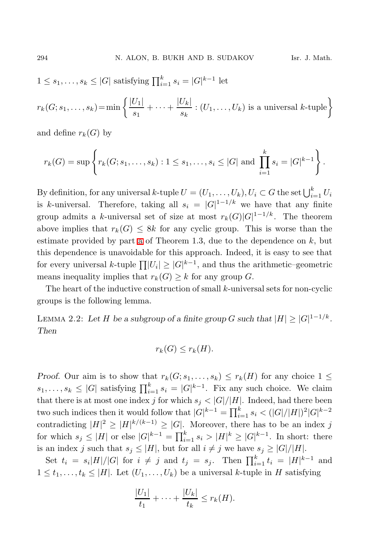$$
1 \leq s_1, \ldots, s_k \leq |G|
$$
 satisfying  $\prod_{i=1}^k s_i = |G|^{k-1}$  let

$$
r_k(G; s_1, \ldots, s_k) = \min \left\{ \frac{|U_1|}{s_1} + \cdots + \frac{|U_k|}{s_k} : (U_1, \ldots, U_k) \text{ is a universal } k \text{-tuple} \right\}
$$

and define  $r_k(G)$  by

$$
r_k(G) = \sup \left\{ r_k(G; s_1, \dots, s_k) : 1 \leq s_1, \dots, s_i \leq |G| \text{ and } \prod_{i=1}^k s_i = |G|^{k-1} \right\}.
$$

By definition, for any universal k-tuple  $U = (U_1, \ldots, U_k)$ ,  $U_i \subset G$  the set  $\bigcup_{i=1}^k U_i$ is k-universal. Therefore, taking all  $s_i = |G|^{1-1/k}$  we have that any finite group admits a k-universal set of size at most  $r_k(G)|G|^{1-1/k}$ . The theorem above implies that  $r_k(G) \leq 8k$  for any cyclic group. This is worse than the estimate provided by part [a](#page-2-1) of Theorem 1.3, due to the dependence on  $k$ , but this dependence is unavoidable for this approach. Indeed, it is easy to see that for every universal k-tuple  $\prod |U_i| \geq |G|^{k-1}$ , and thus the arithmetic–geometric means inequality implies that  $r_k(G) \geq k$  for any group G.

The heart of the inductive construction of small k-universal sets for non-cyclic groups is the following lemma.

<span id="page-9-0"></span>LEMMA 2.2: Let H be a subgroup of a finite group G such that  $|H| \ge |G|^{1-1/k}$ . Then

$$
r_k(G) \le r_k(H).
$$

Proof. Our aim is to show that  $r_k(G; s_1, \ldots, s_k) \leq r_k(H)$  for any choice  $1 \leq$  $s_1, \ldots, s_k \leq |G|$  satisfying  $\prod_{i=1}^k s_i = |G|^{k-1}$ . Fix any such choice. We claim that there is at most one index j for which  $s_j < |G|/|H|$ . Indeed, had there been two such indices then it would follow that  $|G|^{k-1} = \prod_{i=1}^{k} s_i < (|G|/|H|)^2 |G|^{k-2}$ contradicting  $|H|^2 \geq |H|^{k/(k-1)} \geq |G|$ . Moreover, there has to be an index j for which  $s_j \leq |H|$  or else  $|G|^{k-1} = \prod_{i=1}^k s_i > |H|^k \geq |G|^{k-1}$ . In short: there is an index j such that  $s_j \leq |H|$ , but for all  $i \neq j$  we have  $s_j \geq |G|/|H|$ .

Set  $t_i = s_i|H|/|G|$  for  $i \neq j$  and  $t_j = s_j$ . Then  $\prod_{i=1}^k t_i = |H|^{k-1}$  and  $1 \leq t_1, \ldots, t_k \leq |H|$ . Let  $(U_1, \ldots, U_k)$  be a universal k-tuple in H satisfying

$$
\frac{|U_1|}{t_1} + \cdots + \frac{|U_k|}{t_k} \le r_k(H).
$$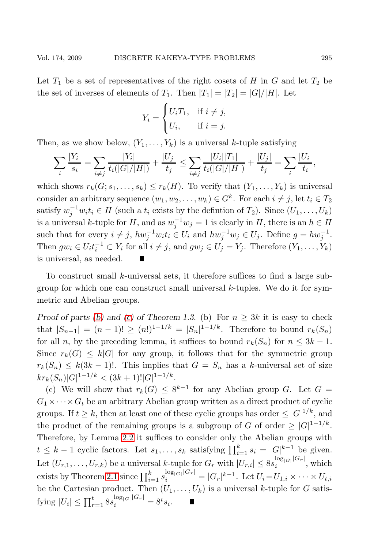Let  $T_1$  be a set of representatives of the right cosets of H in G and let  $T_2$  be the set of inverses of elements of  $T_1$ . Then  $|T_1| = |T_2| = |G|/|H|$ . Let

$$
Y_i = \begin{cases} U_i T_1, & \text{if } i \neq j, \\ U_i, & \text{if } i = j. \end{cases}
$$

Then, as we show below,  $(Y_1, \ldots, Y_k)$  is a universal k-tuple satisfying

$$
\sum_{i} \frac{|Y_i|}{s_i} = \sum_{i \neq j} \frac{|Y_i|}{t_i(|G|/|H|)} + \frac{|U_j|}{t_j} \le \sum_{i \neq j} \frac{|U_i||T_1|}{t_i(|G|/|H|)} + \frac{|U_j|}{t_j} = \sum_{i} \frac{|U_i|}{t_i},
$$

which shows  $r_k(G; s_1, \ldots, s_k) \leq r_k(H)$ . To verify that  $(Y_1, \ldots, Y_k)$  is universal consider an arbitrary sequence  $(w_1, w_2, \ldots, w_k) \in G^k$ . For each  $i \neq j$ , let  $t_i \in T_2$ satisfy  $w_j^{-1}w_it_i \in H$  (such a  $t_i$  exists by the defintion of  $T_2$ ). Since  $(U_1, \ldots, U_k)$ is a universal k-tuple for H, and as  $w_j^{-1}w_j = 1$  is clearly in H, there is an  $h \in H$ such that for every  $i \neq j$ ,  $hw_j^{-1}w_it_i \in U_i$  and  $hw_j^{-1}w_j \in U_j$ . Define  $g = hw_j^{-1}$ . Then  $gw_i \in U_i t_i^{-1} \subset Y_i$  for all  $i \neq j$ , and  $gw_j \in U_j = Y_j$ . Therefore  $(Y_1, \ldots, Y_k)$ is universal, as needed.

To construct small  $k$ -universal sets, it therefore suffices to find a large subgroup for which one can construct small universal k-tuples. We do it for symmetric and Abelian groups.

Proof of parts [\(b\)](#page-2-2) and [\(c\)](#page-2-3) of Theorem 1.3. (b) For  $n \geq 3k$  it is easy to check that  $|S_{n-1}| = (n-1)! \ge (n!)^{1-1/k} = |S_n|^{1-1/k}$ . Therefore to bound  $r_k(S_n)$ for all n, by the preceding lemma, it suffices to bound  $r_k(S_n)$  for  $n \leq 3k - 1$ . Since  $r_k(G) \leq k|G|$  for any group, it follows that for the symmetric group  $r_k(S_n) \leq k(3k-1)!$ . This implies that  $G = S_n$  has a k-universal set of size  $kr_k(S_n)|G|^{1-1/k} < (3k+1)!|G|^{1-1/k}.$ 

(c) We will show that  $r_k(G) \leq 8^{k-1}$  for any Abelian group G. Let  $G =$  $G_1 \times \cdots \times G_t$  be an arbitrary Abelian group written as a direct product of cyclic groups. If  $t \geq k$ , then at least one of these cyclic groups has order  $\leq |G|^{1/k}$ , and the product of the remaining groups is a subgroup of G of order  $\geq |G|^{1-1/k}$ . Therefore, by Lemma [2.2](#page-9-0) it suffices to consider only the Abelian groups with  $t \leq k-1$  cyclic factors. Let  $s_1, \ldots, s_k$  satisfying  $\prod_{i=1}^k s_i = |G|^{k-1}$  be given. Let  $(U_{r,1},...,U_{r,k})$  be a universal k-tuple for  $G_r$  with  $|U_{r,i}| \leq 8s_i^{\log_{|G|}|G_r|}$ , which exists by Theorem [2.1](#page-7-0) since  $\prod_{i=1}^k s_i^{\log_{|G|}|G_r|} = |G_r|^{k-1}$ . Let  $U_i = U_{1,i} \times \cdots \times U_{t,i}$ be the Cartesian product. Then  $(U_1, \ldots, U_k)$  is a universal k-tuple for G satisfying  $|U_i| \le \prod_{r=1}^t 8s_i^{\log_{|G|}|G_r|} = 8^t s_i.$  $\blacksquare$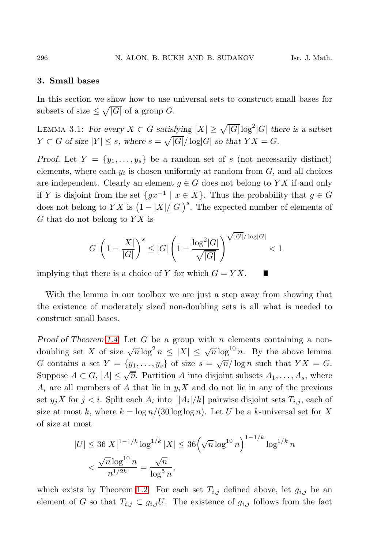#### 3. Small bases

In this section we show how to use universal sets to construct small bases for subsets of size  $\leq \sqrt{|G|}$  of a group G.

LEMMA 3.1: For every  $X \subset G$  satisfying  $|X| \geq \sqrt{|G|} \log^2 |G|$  there is a subset  $Y \subset G$  of size  $|Y| \leq s$ , where  $s = \sqrt{|G|}/\log|G|$  so that  $YX = G$ .

Proof. Let  $Y = \{y_1, \ldots, y_s\}$  be a random set of s (not necessarily distinct) elements, where each  $y_i$  is chosen uniformly at random from  $G$ , and all choices are independent. Clearly an element  $g \in G$  does not belong to YX if and only if Y is disjoint from the set  $\{gx^{-1} \mid x \in X\}$ . Thus the probability that  $g \in G$ does not belong to  $YX$  is  $(1 - |X|/|G|)^s$ . The expected number of elements of  $G$  that do not belong to  $Y X$  is

$$
|G|\left(1-\frac{|X|}{|G|}\right)^s\leq |G|\left(1-\frac{\log^2|G|}{\sqrt{|G|}}\right)^{\sqrt{|G|}/\log |G|}<1
$$

implying that there is a choice of Y for which  $G = YX$ . П

With the lemma in our toolbox we are just a step away from showing that the existence of moderately sized non-doubling sets is all what is needed to construct small bases.

Proof of Theorem [1.4.](#page-4-0) Let G be a group with n elements containing a nondoubling set X of size  $\sqrt{n} \log^2 n \leq |X| \leq \sqrt{n} \log^{10} n$ . By the above lemma G contains a set  $Y = \{y_1, \ldots, y_s\}$  of size  $s = \sqrt{n}/\log n$  such that  $YX = G$ . Suppose  $A \subset G$ ,  $|A| \leq \sqrt{n}$ . Partition A into disjoint subsets  $A_1, \ldots, A_s$ , where  $A_i$  are all members of A that lie in  $y_iX$  and do not lie in any of the previous set  $y_j X$  for  $j < i$ . Split each  $A_i$  into  $\lfloor |A_i|/k \rfloor$  pairwise disjoint sets  $T_{i,j}$ , each of size at most k, where  $k = \log n/(30 \log \log n)$ . Let U be a k-universal set for X of size at most

$$
|U| \le 36|X|^{1-1/k} \log^{1/k} |X| \le 36\left(\sqrt{n} \log^{10} n\right)^{1-1/k} \log^{1/k} n
$$
  

$$
< \frac{\sqrt{n} \log^{10} n}{n^{1/2k}} = \frac{\sqrt{n}}{\log^5 n},
$$

which exists by Theorem [1.2.](#page-2-0) For each set  $T_{i,j}$  defined above, let  $g_{i,j}$  be an element of G so that  $T_{i,j} \subset g_{i,j}U$ . The existence of  $g_{i,j}$  follows from the fact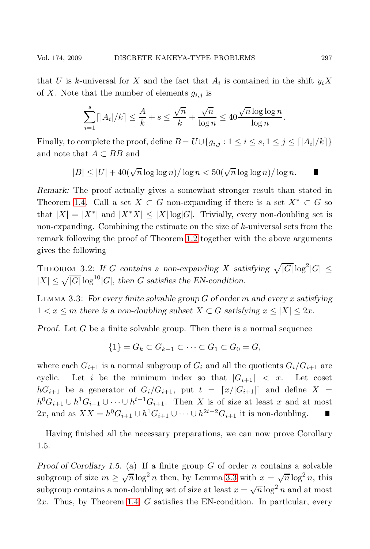Г

that U is k-universal for X and the fact that  $A_i$  is contained in the shift  $y_iX$ of X. Note that the number of elements  $g_{i,j}$  is

$$
\sum_{i=1}^{s} \lceil |A_i|/k \rceil \le \frac{A}{k} + s \le \frac{\sqrt{n}}{k} + \frac{\sqrt{n}}{\log n} \le 40 \frac{\sqrt{n} \log \log n}{\log n}.
$$

Finally, to complete the proof, define  $B = U \cup \{g_{i,j} : 1 \leq i \leq s, 1 \leq j \leq \lceil |A_i|/k \rceil\}$ and note that  $A\subset BB$  and

$$
|B|\leq |U|+40(\sqrt{n}\log\log n)/\log n<50(\sqrt{n}\log\log n)/\log n.
$$

Remark: The proof actually gives a somewhat stronger result than stated in Theorem [1.4.](#page-4-0) Call a set  $X \subset G$  non-expanding if there is a set  $X^* \subset G$  so that  $|X| = |X^*|$  and  $|X^*X| \leq |X| \log |G|$ . Trivially, every non-doubling set is non-expanding. Combining the estimate on the size of  $k$ -universal sets from the remark following the proof of Theorem [1.2](#page-2-0) together with the above arguments gives the following

THEOREM 3.2: If G contains a non-expanding X satisfying  $\sqrt{|G|} \log^2 |G| \le$  $|X| \leq \sqrt{|G|} \log^{10} |G|$ , then G satisfies the EN-condition.

<span id="page-12-0"></span>LEMMA 3.3: For every finite solvable group  $G$  of order m and every x satisfying  $1 < x \le m$  there is a non-doubling subset  $X \subset G$  satisfying  $x \le |X| \le 2x$ .

Proof. Let G be a finite solvable group. Then there is a normal sequence

$$
\{1\} = G_k \subset G_{k-1} \subset \cdots \subset G_1 \subset G_0 = G,
$$

where each  $G_{i+1}$  is a normal subgroup of  $G_i$  and all the quotients  $G_i/G_{i+1}$  are cyclic. Let i be the minimum index so that  $|G_{i+1}| < x$ . Let coset  $hG_{i+1}$  be a generator of  $G_i/G_{i+1}$ , put  $t = [x/|G_{i+1}|]$  and define  $X =$  $h^0G_{i+1} \cup h^1G_{i+1} \cup \cdots \cup h^{t-1}G_{i+1}$ . Then X is of size at least x and at most 2x, and as  $XX = h^0 G_{i+1} \cup h^1 G_{i+1} \cup \cdots \cup h^{2t-2} G_{i+1}$  it is non-doubling. Г

Having finished all the necessary preparations, we can now prove Corollary 1.5.

Proof of Corollary 1.5. (a) If a finite group  $G$  of order  $n$  contains a solvable subgroup of size  $m \ge \sqrt{n} \log^2 n$  then, by Lemma [3.3](#page-12-0) with  $x = \sqrt{n} \log^2 n$ , this subgroup contains a non-doubling set of size at least  $x = \sqrt{n} \log^2 n$  and at most 2x. Thus, by Theorem [1.4,](#page-4-0) G satisfies the EN-condition. In particular, every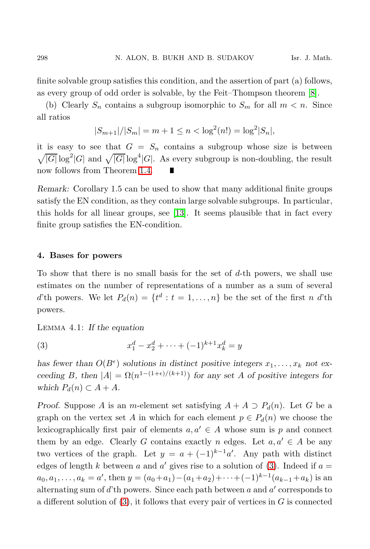finite solvable group satisfies this condition, and the assertion of part (a) follows, as every group of odd order is solvable, by the Feit–Thompson theorem [\[8\]](#page-16-7).

(b) Clearly  $S_n$  contains a subgroup isomorphic to  $S_m$  for all  $m < n$ . Since all ratios

$$
|S_{m+1}|/|S_m| = m + 1 \le n < \log^2(n!) = \log^2|S_n|,
$$

it is easy to see that  $G = S_n$  contains a subgroup whose size is between  $\sqrt{|G|} \log^2 |G|$  and  $\sqrt{|G|} \log^4 |G|$ . As every subgroup is non-doubling, the result now follows from Theorem [1.4.](#page-4-0)

Remark: Corollary 1.5 can be used to show that many additional finite groups satisfy the EN condition, as they contain large solvable subgroups. In particular, this holds for all linear groups, see [\[13\]](#page-16-8). It seems plausible that in fact every finite group satisfies the EN-condition.

### 4. Bases for powers

To show that there is no small basis for the set of d-th powers, we shall use estimates on the number of representations of a number as a sum of several d'th powers. We let  $P_d(n) = \{t^d : t = 1, \ldots, n\}$  be the set of the first n d'th powers.

Lemma 4.1: If the equation

<span id="page-13-0"></span>(3) 
$$
x_1^d - x_2^d + \dots + (-1)^{k+1} x_k^d = y
$$

has fewer than  $O(B^{\epsilon})$  solutions in distinct positive integers  $x_1, \ldots, x_k$  not exceeding B, then  $|A| = \Omega(n^{1-(1+\epsilon)/(k+1)})$  for any set A of positive integers for which  $P_d(n) \subset A + A$ .

*Proof.* Suppose A is an m-element set satisfying  $A + A \supset P_d(n)$ . Let G be a graph on the vertex set A in which for each element  $p \in P_d(n)$  we choose the lexicographically first pair of elements  $a, a' \in A$  whose sum is p and connect them by an edge. Clearly G contains exactly n edges. Let  $a, a' \in A$  be any two vertices of the graph. Let  $y = a + (-1)^{k-1}a'$ . Any path with distinct edges of length k between a and a' gives rise to a solution of  $(3)$ . Indeed if  $a =$  $a_0, a_1, \ldots, a_k = a'$ , then  $y = (a_0 + a_1) - (a_1 + a_2) + \cdots + (-1)^{k-1} (a_{k-1} + a_k)$  is an alternating sum of  $d'$ th powers. Since each path between  $a$  and  $a'$  corresponds to a different solution of  $(3)$ , it follows that every pair of vertices in G is connected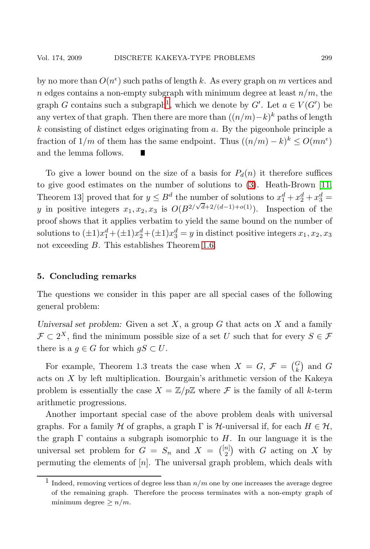by no more than  $O(n^{\epsilon})$  such paths of length k. As every graph on m vertices and n edges contains a non-empty subgraph with minimum degree at least  $n/m$ , the graph G contains such a subgraph<sup>[1](#page-14-0)</sup>, which we denote by  $G'$ . Let  $a \in V(G')$  be any vertex of that graph. Then there are more than  $((n/m)-k)^k$  paths of length  $k$  consisting of distinct edges originating from  $a$ . By the pigeonhole principle a fraction of  $1/m$  of them has the same endpoint. Thus  $((n/m) - k)^k \leq O(mn^{\epsilon})$ and the lemma follows.

To give a lower bound on the size of a basis for  $P_d(n)$  it therefore suffices to give good estimates on the number of solutions to [\(3\)](#page-13-0). Heath-Brown [\[11,](#page-16-9) Theorem 13] proved that for  $y \leq B^d$  the number of solutions to  $x_1^d + x_2^d + x_3^d =$ y in positive integers  $x_1, x_2, x_3$  is  $O(B^{2/\sqrt{d}+2/(d-1)+o(1)})$ . Inspection of the proof shows that it applies verbatim to yield the same bound on the number of solutions to  $(\pm 1)x_1^d + (\pm 1)x_2^d + (\pm 1)x_3^d = y$  in distinct positive integers  $x_1, x_2, x_3$ not exceeding B. This establishes Theorem [1.6.](#page-4-1)

## 5. Concluding remarks

The questions we consider in this paper are all special cases of the following general problem:

Universal set problem: Given a set  $X$ , a group  $G$  that acts on  $X$  and a family  $\mathcal{F} \subset 2^X$ , find the minimum possible size of a set U such that for every  $S \in \mathcal{F}$ there is a  $g \in G$  for which  $gS \subset U$ .

For example, Theorem 1.3 treats the case when  $X = G$ ,  $\mathcal{F} = \begin{pmatrix} G \\ k \end{pmatrix}$  and G acts on X by left multiplication. Bourgain's arithmetic version of the Kakeya problem is essentially the case  $X = \mathbb{Z}/p\mathbb{Z}$  where  $\mathcal F$  is the family of all k-term arithmetic progressions.

Another important special case of the above problem deals with universal graphs. For a family H of graphs, a graph  $\Gamma$  is H-universal if, for each  $H \in \mathcal{H}$ , the graph  $\Gamma$  contains a subgraph isomorphic to H. In our language it is the universal set problem for  $G = S_n$  and  $X = \binom{[n]}{2}$  with G acting on X by permuting the elements of  $[n]$ . The universal graph problem, which deals with

<span id="page-14-0"></span><sup>&</sup>lt;sup>1</sup> Indeed, removing vertices of degree less than  $n/m$  one by one increases the average degree of the remaining graph. Therefore the process terminates with a non-empty graph of minimum degree  $\geq n/m$ .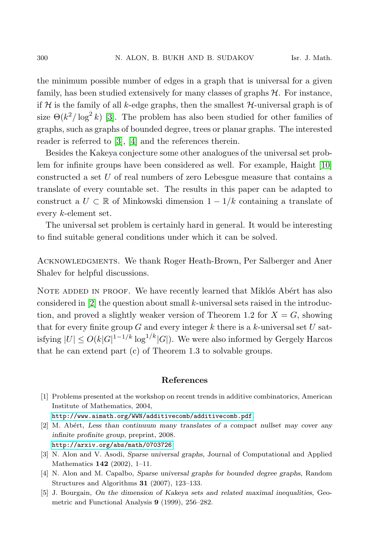the minimum possible number of edges in a graph that is universal for a given family, has been studied extensively for many classes of graphs  $H$ . For instance, if H is the family of all k-edge graphs, then the smallest  $H$ -universal graph is of size  $\Theta(k^2/\log^2 k)$  [\[3\]](#page-15-2). The problem has also been studied for other families of graphs, such as graphs of bounded degree, trees or planar graphs. The interested reader is referred to [\[3\]](#page-15-2), [\[4\]](#page-15-3) and the references therein.

Besides the Kakeya conjecture some other analogues of the universal set problem for infinite groups have been considered as well. For example, Haight [\[10\]](#page-16-10) constructed a set U of real numbers of zero Lebesgue measure that contains a translate of every countable set. The results in this paper can be adapted to construct a  $U \subset \mathbb{R}$  of Minkowski dimension  $1 - 1/k$  containing a translate of every k-element set.

The universal set problem is certainly hard in general. It would be interesting to find suitable general conditions under which it can be solved.

Acknowledgments. We thank Roger Heath-Brown, Per Salberger and Aner Shalev for helpful discussions.

NOTE ADDED IN PROOF. We have recently learned that Miklós Abért has also considered in  $[2]$  the question about small k-universal sets raised in the introduction, and proved a slightly weaker version of Theorem 1.2 for  $X = G$ , showing that for every finite group  $G$  and every integer k there is a k-universal set  $U$  satisfying  $|U| \le O(k|G|^{1-1/k} \log^{1/k}|G|)$ . We were also informed by Gergely Harcos that he can extend part (c) of Theorem 1.3 to solvable groups.

## References

<span id="page-15-1"></span>[1] Problems presented at the workshop on recent trends in additive combinatorics, American Institute of Mathematics, 2004,

<http://www.aimath.org/WWN/additivecomb/additivecomb.pdf>.

- <span id="page-15-4"></span>[2] M. Abert, Less than continuum many translates of a compact nullset may cover any infinite profinite group, preprint, 2008. <http://arxiv.org/abs/math/0703726>
- <span id="page-15-2"></span>[3] N. Alon and V. Asodi, Sparse universal graphs, Journal of Computational and Applied Mathematics 142 (2002), 1–11.
- <span id="page-15-3"></span>[4] N. Alon and M. Capalbo, Sparse universal graphs for bounded degree graphs, Random Structures and Algorithms 31 (2007), 123–133.
- <span id="page-15-0"></span>[5] J. Bourgain, On the dimension of Kakeya sets and related maximal inequalities, Geometric and Functional Analysis 9 (1999), 256–282.